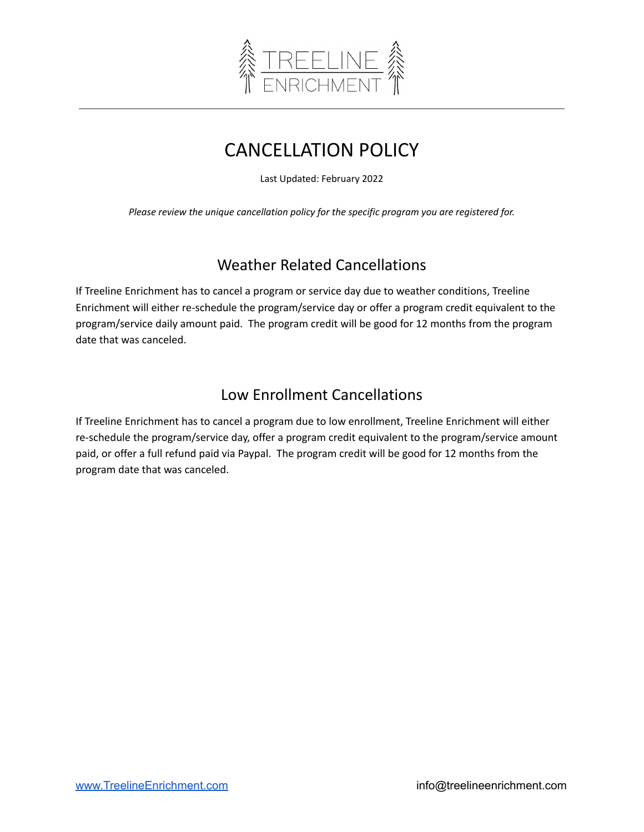

# CANCELLATION POLICY

Last Updated: February 2022

*Please review the unique cancellation policy for the specific program you are registered for.*

## Weather Related Cancellations

If Treeline Enrichment has to cancel a program or service day due to weather conditions, Treeline Enrichment will either re-schedule the program/service day or offer a program credit equivalent to the program/service daily amount paid. The program credit will be good for 12 months from the program date that was canceled.

## Low Enrollment Cancellations

If Treeline Enrichment has to cancel a program due to low enrollment, Treeline Enrichment will either re-schedule the program/service day, offer a program credit equivalent to the program/service amount paid, or offer a full refund paid via Paypal. The program credit will be good for 12 months from the program date that was canceled.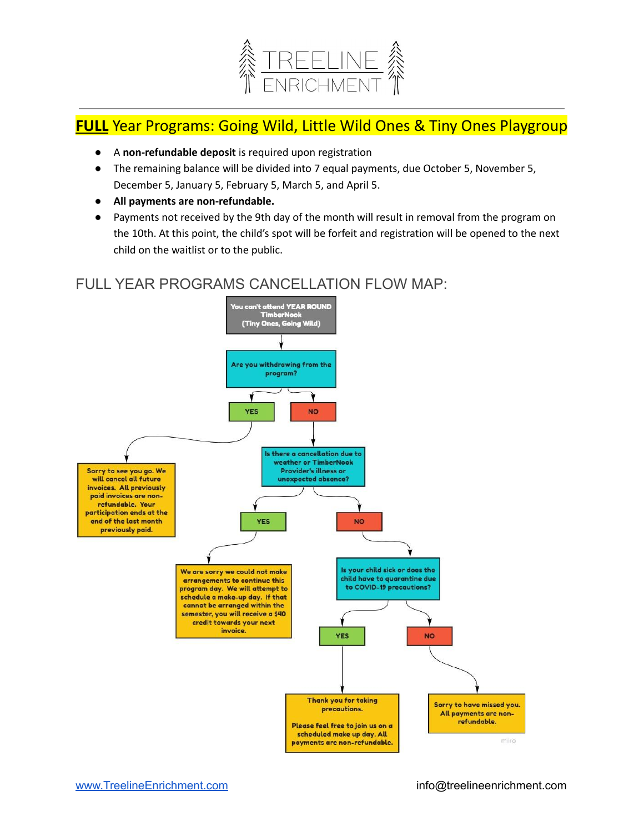

### **FULL** Year Programs: Going Wild, Little Wild Ones & Tiny Ones Playgroup

- A **non-refundable deposit** is required upon registration
- The remaining balance will be divided into 7 equal payments, due October 5, November 5, December 5, January 5, February 5, March 5, and April 5.
- **All payments are non-refundable.**
- Payments not received by the 9th day of the month will result in removal from the program on the 10th. At this point, the child's spot will be forfeit and registration will be opened to the next child on the waitlist or to the public.

### FULL YEAR PROGRAMS CANCELLATION FLOW MAP:

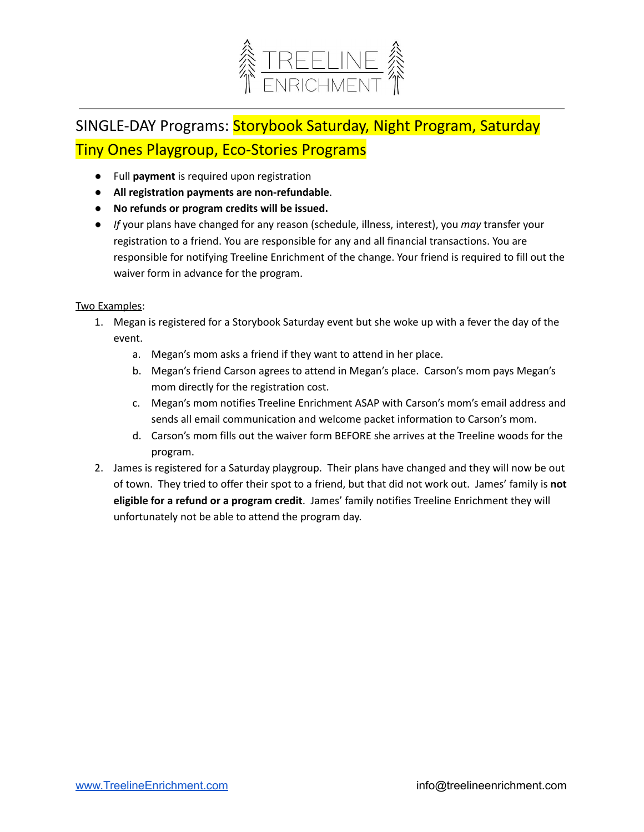

# SINGLE-DAY Programs: Storybook Saturday, Night Program, Saturday Tiny Ones Playgroup, Eco-Stories Programs

- Full **payment** is required upon registration
- **All registration payments are non-refundable**.
- **● No refunds or program credits will be issued.**
- *If* your plans have changed for any reason (schedule, illness, interest), you *may* transfer your registration to a friend. You are responsible for any and all financial transactions. You are responsible for notifying Treeline Enrichment of the change. Your friend is required to fill out the waiver form in advance for the program.

#### Two Examples:

- 1. Megan is registered for a Storybook Saturday event but she woke up with a fever the day of the event.
	- a. Megan's mom asks a friend if they want to attend in her place.
	- b. Megan's friend Carson agrees to attend in Megan's place. Carson's mom pays Megan's mom directly for the registration cost.
	- c. Megan's mom notifies Treeline Enrichment ASAP with Carson's mom's email address and sends all email communication and welcome packet information to Carson's mom.
	- d. Carson's mom fills out the waiver form BEFORE she arrives at the Treeline woods for the program.
- 2. James is registered for a Saturday playgroup. Their plans have changed and they will now be out of town. They tried to offer their spot to a friend, but that did not work out. James' family is **not eligible for a refund or a program credit**. James' family notifies Treeline Enrichment they will unfortunately not be able to attend the program day.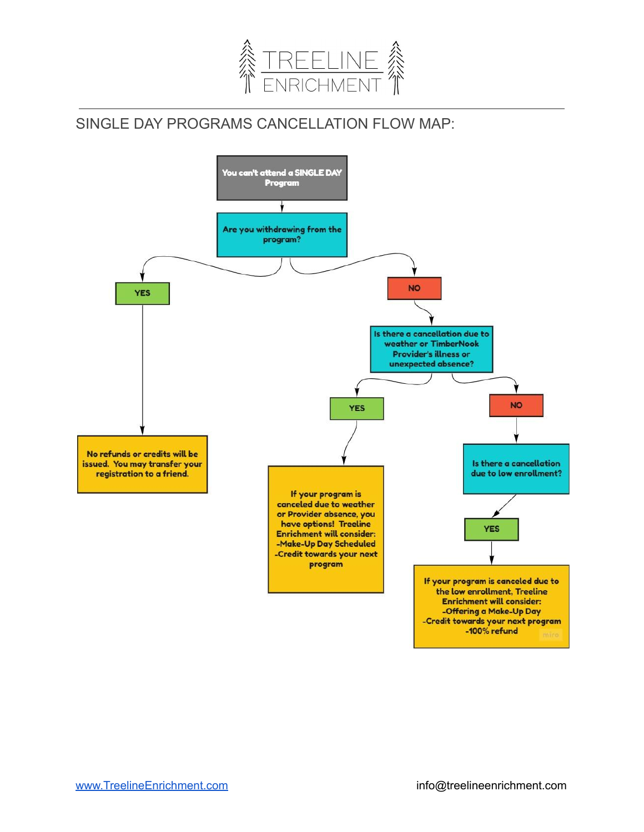

## SINGLE DAY PROGRAMS CANCELLATION FLOW MAP:

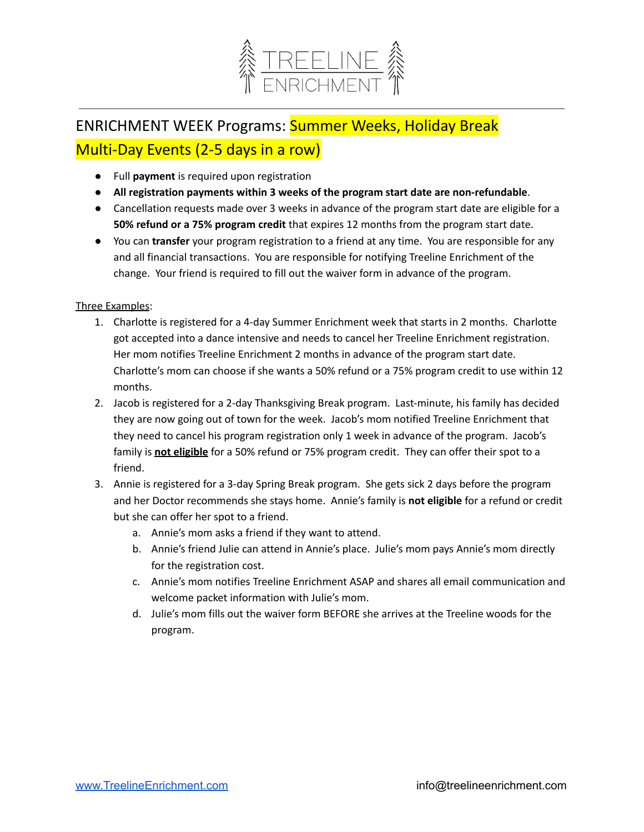

# ENRICHMENT WEEK Programs: Summer Weeks, Holiday Break Multi-Day Events (2-5 days in a row)

- Full **payment** is required upon registration
- **All registration payments within 3 weeks of the program start date are non-refundable**.
- Cancellation requests made over 3 weeks in advance of the program start date are eligible for a **50% refund or a 75% program credit** that expires 12 months from the program start date.
- You can **transfer** your program registration to a friend at any time. You are responsible for any and all financial transactions. You are responsible for notifying Treeline Enrichment of the change. Your friend is required to fill out the waiver form in advance of the program.

#### Three Examples:

- 1. Charlotte is registered for a 4-day Summer Enrichment week that starts in 2 months. Charlotte got accepted into a dance intensive and needs to cancel her Treeline Enrichment registration. Her mom notifies Treeline Enrichment 2 months in advance of the program start date. Charlotte's mom can choose if she wants a 50% refund or a 75% program credit to use within 12 months.
- 2. Jacob is registered for a 2-day Thanksgiving Break program. Last-minute, his family has decided they are now going out of town for the week. Jacob's mom notified Treeline Enrichment that they need to cancel his program registration only 1 week in advance of the program. Jacob's family is **not eligible** for a 50% refund or 75% program credit. They can offer their spot to a friend.
- 3. Annie is registered for a 3-day Spring Break program. She gets sick 2 days before the program and her Doctor recommends she stays home. Annie's family is **not eligible** for a refund or credit but she can offer her spot to a friend.
	- a. Annie's mom asks a friend if they want to attend.
	- b. Annie's friend Julie can attend in Annie's place. Julie's mom pays Annie's mom directly for the registration cost.
	- c. Annie's mom notifies Treeline Enrichment ASAP and shares all email communication and welcome packet information with Julie's mom.
	- d. Julie's mom fills out the waiver form BEFORE she arrives at the Treeline woods for the program.